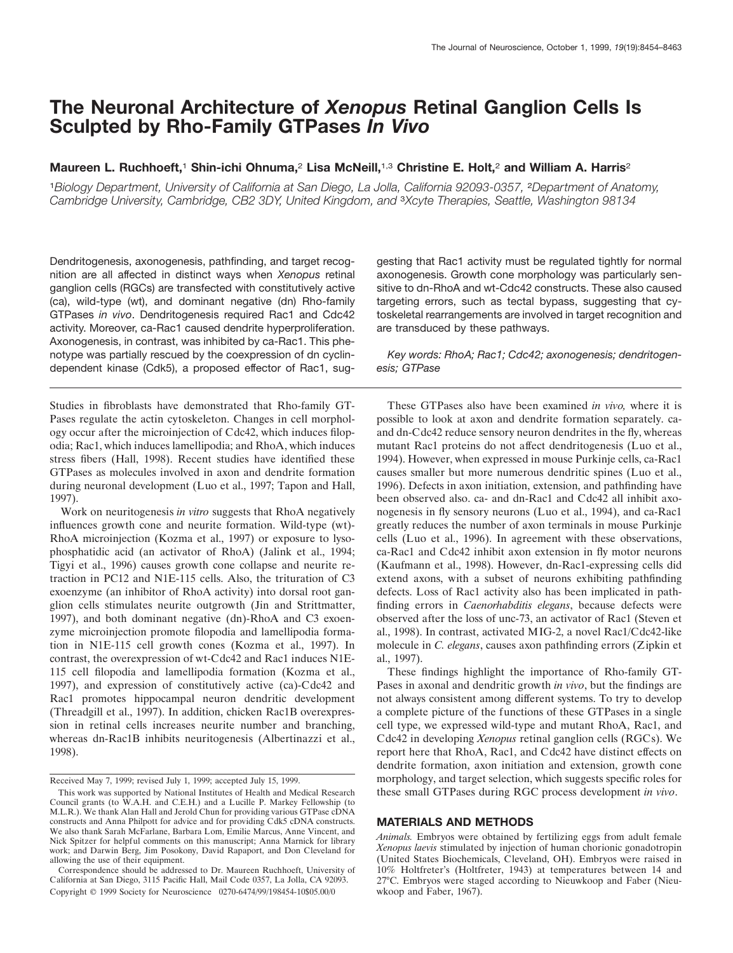# **The Neuronal Architecture of** *Xenopus* **Retinal Ganglion Cells Is Sculpted by Rho-Family GTPases** *In Vivo*

# **Maureen L. Ruchhoeft,**<sup>1</sup> **Shin-ichi Ohnuma,**<sup>2</sup> **Lisa McNeill,**1,3 **Christine E. Holt,**<sup>2</sup> **and William A. Harris**<sup>2</sup>

<sup>1</sup>*Biology Department, University of California at San Diego, La Jolla, California 92093-0357,* <sup>2</sup>*Department of Anatomy, Cambridge University, Cambridge, CB2 3DY, United Kingdom, and* <sup>3</sup>*Xcyte Therapies, Seattle, Washington 98134*

Dendritogenesis, axonogenesis, pathfinding, and target recognition are all affected in distinct ways when *Xenopus* retinal ganglion cells (RGCs) are transfected with constitutively active (ca), wild-type (wt), and dominant negative (dn) Rho-family GTPases *in vivo*. Dendritogenesis required Rac1 and Cdc42 activity. Moreover, ca-Rac1 caused dendrite hyperproliferation. Axonogenesis, in contrast, was inhibited by ca-Rac1. This phenotype was partially rescued by the coexpression of dn cyclindependent kinase (Cdk5), a proposed effector of Rac1, sug-

Studies in fibroblasts have demonstrated that Rho-family GT-Pases regulate the actin cytoskeleton. Changes in cell morphology occur after the microinjection of Cdc42, which induces filopodia; Rac1, which induces lamellipodia; and RhoA, which induces stress fibers (Hall, 1998). Recent studies have identified these GTPases as molecules involved in axon and dendrite formation during neuronal development (Luo et al., 1997; Tapon and Hall, 1997).

Work on neuritogenesis *in vitro* suggests that RhoA negatively influences growth cone and neurite formation. Wild-type (wt)- RhoA microinjection (Kozma et al., 1997) or exposure to lysophosphatidic acid (an activator of RhoA) (Jalink et al., 1994; Tigyi et al., 1996) causes growth cone collapse and neurite retraction in PC12 and N1E-115 cells. Also, the trituration of C3 exoenzyme (an inhibitor of RhoA activity) into dorsal root ganglion cells stimulates neurite outgrowth (Jin and Strittmatter, 1997), and both dominant negative (dn)-RhoA and C3 exoenzyme microinjection promote filopodia and lamellipodia formation in N1E-115 cell growth cones (Kozma et al., 1997). In contrast, the overexpression of wt-Cdc42 and Rac1 induces N1E-115 cell filopodia and lamellipodia formation (Kozma et al., 1997), and expression of constitutively active (ca)-Cdc42 and Rac1 promotes hippocampal neuron dendritic development (Threadgill et al., 1997). In addition, chicken Rac1B overexpression in retinal cells increases neurite number and branching, whereas dn-Rac1B inhibits neuritogenesis (Albertinazzi et al., 1998).

gesting that Rac1 activity must be regulated tightly for normal axonogenesis. Growth cone morphology was particularly sensitive to dn-RhoA and wt-Cdc42 constructs. These also caused targeting errors, such as tectal bypass, suggesting that cytoskeletal rearrangements are involved in target recognition and are transduced by these pathways.

*Key words: RhoA; Rac1; Cdc42; axonogenesis; dendritogenesis; GTPase*

These GTPases also have been examined *in vivo,* where it is possible to look at axon and dendrite formation separately. caand dn-Cdc42 reduce sensory neuron dendrites in the fly, whereas mutant Rac1 proteins do not affect dendritogenesis (Luo et al., 1994). However, when expressed in mouse Purkinje cells, ca-Rac1 causes smaller but more numerous dendritic spines (Luo et al., 1996). Defects in axon initiation, extension, and pathfinding have been observed also. ca- and dn-Rac1 and Cdc42 all inhibit axonogenesis in fly sensory neurons (Luo et al., 1994), and ca-Rac1 greatly reduces the number of axon terminals in mouse Purkinje cells (Luo et al., 1996). In agreement with these observations, ca-Rac1 and Cdc42 inhibit axon extension in fly motor neurons (Kaufmann et al., 1998). However, dn-Rac1-expressing cells did extend axons, with a subset of neurons exhibiting pathfinding defects. Loss of Rac1 activity also has been implicated in pathfinding errors in *Caenorhabditis elegans*, because defects were observed after the loss of unc-73, an activator of Rac1 (Steven et al., 1998). In contrast, activated MIG-2, a novel Rac1/Cdc42-like molecule in *C. elegans*, causes axon pathfinding errors (Zipkin et al., 1997).

These findings highlight the importance of Rho-family GT-Pases in axonal and dendritic growth *in vivo*, but the findings are not always consistent among different systems. To try to develop a complete picture of the functions of these GTPases in a single cell type, we expressed wild-type and mutant RhoA, Rac1, and Cdc42 in developing *Xenopus* retinal ganglion cells (RGCs). We report here that RhoA, Rac1, and Cdc42 have distinct effects on dendrite formation, axon initiation and extension, growth cone morphology, and target selection, which suggests specific roles for these small GTPases during RGC process development *in vivo*.

#### **MATERIALS AND METHODS**

*Animals.* Embryos were obtained by fertilizing eggs from adult female *Xenopus laevis* stimulated by injection of human chorionic gonadotropin (United States Biochemicals, Cleveland, OH). Embryos were raised in 10% Holtfreter's (Holtfreter, 1943) at temperatures between 14 and 27°C. Embryos were staged according to Nieuwkoop and Faber (Nieuwkoop and Faber, 1967).

Received May 7, 1999; revised July 1, 1999; accepted July 15, 1999.

This work was supported by National Institutes of Health and Medical Research Council grants (to W.A.H. and C.E.H.) and a Lucille P. Markey Fellowship (to M.L.R.). We thank Alan Hall and Jerold Chun for providing various GTPase cDNA constructs and Anna Philpott for advice and for providing Cdk5 cDNA constructs. We also thank Sarah McFarlane, Barbara Lom, Emilie Marcus, Anne Vincent, and Nick Spitzer for helpful comments on this manuscript; Anna Marnick for library work; and Darwin Berg, Jim Posokony, David Rapaport, and Don Cleveland for allowing the use of their equipment.

Correspondence should be addressed to Dr. Maureen Ruchhoeft, University of California at San Diego, 3115 Pacific Hall, Mail Code 0357, La Jolla, CA 92093. Copyright © 1999 Society for Neuroscience 0270-6474/99/198454-10\$05.00/0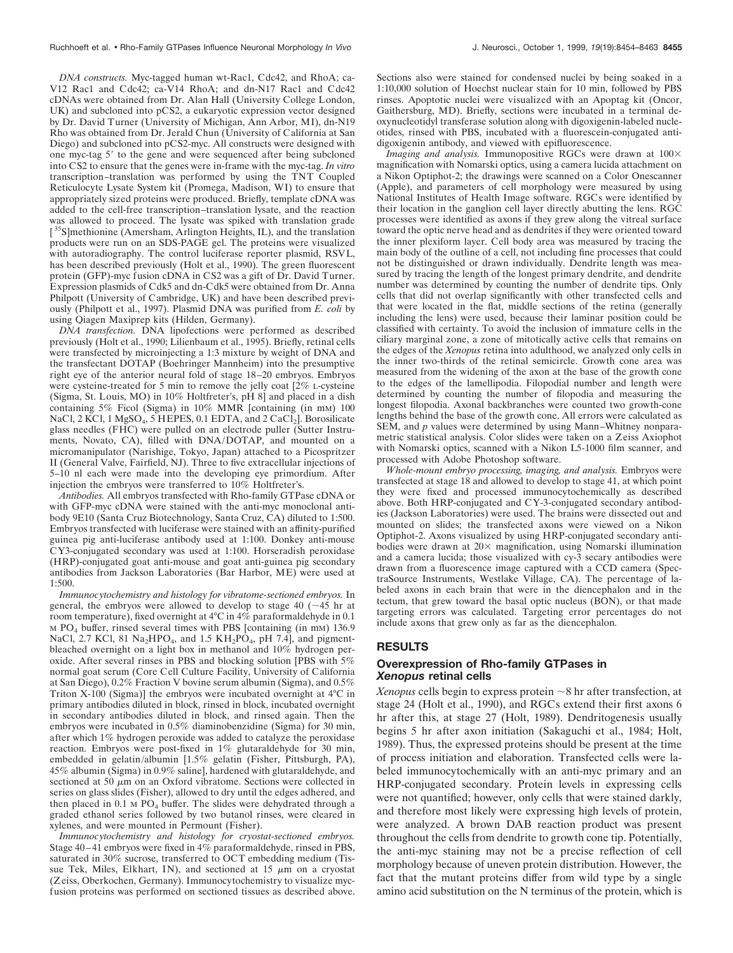*DNA constructs.* Myc-tagged human wt-Rac1, Cdc42, and RhoA; ca-V12 Rac1 and Cdc42; ca-V14 RhoA; and dn-N17 Rac1 and Cdc42 cDNAs were obtained from Dr. Alan Hall (University College London, UK) and subcloned into pCS2, a eukaryotic expression vector designed by Dr. David Turner (University of Michigan, Ann Arbor, MI), dn-N19 Rho was obtained from Dr. Jerald Chun (University of California at San Diego) and subcloned into pCS2-myc. All constructs were designed with one myc-tag 5' to the gene and were sequenced after being subcloned into CS2 to ensure that the genes were in-frame with the myc-tag. *In vitro* transcription–translation was performed by using the TNT Coupled Reticulocyte Lysate System kit (Promega, Madison, WI) to ensure that appropriately sized proteins were produced. Briefly, template cDNA was added to the cell-free transcription–translation lysate, and the reaction was allowed to proceed. The lysate was spiked with translation grade [<sup>35</sup>S]methionine (Amersham, Arlington Heights, IL), and the translation products were run on an SDS-PAGE gel. The proteins were visualized with autoradiography. The control luciferase reporter plasmid, RSVL, has been described previously (Holt et al., 1990). The green fluorescent protein (GFP)-myc fusion cDNA in CS2 was a gift of Dr. David Turner. Expression plasmids of Cdk5 and dn-Cdk5 were obtained from Dr. Anna Philpott (University of Cambridge, UK) and have been described previously (Philpott et al., 1997). Plasmid DNA was purified from *E. coli* by using Qiagen Maxiprep kits (Hilden, Germany).

*DNA transfection.* DNA lipofections were performed as described previously (Holt et al., 1990; Lilienbaum et al., 1995). Briefly, retinal cells were transfected by microinjecting a 1:3 mixture by weight of DNA and the transfectant DOTAP (Boehringer Mannheim) into the presumptive right eye of the anterior neural fold of stage 18–20 embryos. Embryos were cysteine-treated for 5 min to remove the jelly coat [2% L-cysteine (Sigma, St. Louis, MO) in 10% Holtfreter's, pH 8] and placed in a dish containing 5% Ficol (Sigma) in 10% MMR [containing (in mM) 100 NaCl, 2 KCl, 1 MgSO<sub>4</sub>, 5 HEPES, 0.1 EDTA, and 2 CaCl<sub>2</sub>]. Borosilicate glass needles (FHC) were pulled on an electrode puller (Sutter Instruments, Novato, CA), filled with DNA/DOTAP, and mounted on a micromanipulator (Narishige, Tokyo, Japan) attached to a Picospritzer II (General Valve, Fairfield, NJ). Three to five extracellular injections of 5–10 nl each were made into the developing eye primordium. After injection the embryos were transferred to 10% Holtfreter's.

*Antibodies.* All embryos transfected with Rho-family GTPase cDNA or with GFP-myc cDNA were stained with the anti-myc monoclonal antibody 9E10 (Santa Cruz Biotechnology, Santa Cruz, CA) diluted to 1:500. Embryos transfected with luciferase were stained with an affinity-purified guinea pig anti-luciferase antibody used at 1:100. Donkey anti-mouse CY3-conjugated secondary was used at 1:100. Horseradish peroxidase (HRP)-conjugated goat anti-mouse and goat anti-guinea pig secondary antibodies from Jackson Laboratories (Bar Harbor, ME) were used at 1:500.

*Immunocytochemistry and histology for vibratome-sectioned embryos.* In general, the embryos were allowed to develop to stage 40 ( $\sim$ 45 hr at room temperature), fixed overnight at 4°C in 4% paraformaldehyde in 0.1  $M PO<sub>4</sub>$  buffer, rinsed several times with PBS [containing (in mM) 136.9 NaCl, 2.7 KCl, 81 Na<sub>2</sub>HPO<sub>4</sub>, and 1.5 KH<sub>2</sub>PO<sub>4</sub>, pH 7.4], and pigmentbleached overnight on a light box in methanol and 10% hydrogen peroxide. After several rinses in PBS and blocking solution [PBS with 5% normal goat serum (Core Cell Culture Facility, University of California at San Diego), 0.2% Fraction V bovine serum albumin (Sigma), and 0.5% Triton X-100 (Sigma)] the embryos were incubated overnight at 4°C in primary antibodies diluted in block, rinsed in block, incubated overnight in secondary antibodies diluted in block, and rinsed again. Then the embryos were incubated in 0.5% diaminobenzidine (Sigma) for 30 min, after which 1% hydrogen peroxide was added to catalyze the peroxidase reaction. Embryos were post-fixed in 1% glutaraldehyde for 30 min, embedded in gelatin/albumin [1.5% gelatin (Fisher, Pittsburgh, PA), 45% albumin (Sigma) in 0.9% saline], hardened with glutaraldehyde, and sectioned at 50  $\mu$ m on an Oxford vibratome. Sections were collected in series on glass slides (Fisher), allowed to dry until the edges adhered, and then placed in  $0.1$  M PO<sub>4</sub> buffer. The slides were dehydrated through a graded ethanol series followed by two butanol rinses, were cleared in xylenes, and were mounted in Permount (Fisher).

*Immunocytochemistry and histology for cryostat-sectioned embryos.* Stage 40–41 embryos were fixed in 4% paraformaldehyde, rinsed in PBS, saturated in 30% sucrose, transferred to OCT embedding medium (Tissue Tek, Miles, Elkhart, IN), and sectioned at 15  $\mu$ m on a cryostat (Zeiss, Oberkochen, Germany). Immunocytochemistry to visualize mycfusion proteins was performed on sectioned tissues as described above. Sections also were stained for condensed nuclei by being soaked in a 1:10,000 solution of Hoechst nuclear stain for 10 min, followed by PBS rinses. Apoptotic nuclei were visualized with an Apoptag kit (Oncor, Gaithersburg, MD). Briefly, sections were incubated in a terminal deoxynucleotidyl transferase solution along with digoxigenin-labeled nucleotides, rinsed with PBS, incubated with a fluorescein-conjugated antidigoxigenin antibody, and viewed with epifluorescence.

*Imaging and analysis.* Immunopositive RGCs were drawn at  $100\times$ magnification with Nomarski optics, using a camera lucida attachment on a Nikon Optiphot-2; the drawings were scanned on a Color Onescanner (Apple), and parameters of cell morphology were measured by using National Institutes of Health Image software. RGCs were identified by their location in the ganglion cell layer directly abutting the lens. RGC processes were identified as axons if they grew along the vitreal surface toward the optic nerve head and as dendrites if they were oriented toward the inner plexiform layer. Cell body area was measured by tracing the main body of the outline of a cell, not including fine processes that could not be distinguished or drawn individually. Dendrite length was measured by tracing the length of the longest primary dendrite, and dendrite number was determined by counting the number of dendrite tips. Only cells that did not overlap significantly with other transfected cells and that were located in the flat, middle sections of the retina (generally including the lens) were used, because their laminar position could be classified with certainty. To avoid the inclusion of immature cells in the ciliary marginal zone, a zone of mitotically active cells that remains on the edges of the *Xenopus* retina into adulthood, we analyzed only cells in the inner two-thirds of the retinal semicircle. Growth cone area was measured from the widening of the axon at the base of the growth cone to the edges of the lamellipodia. Filopodial number and length were determined by counting the number of filopodia and measuring the longest filopodia. Axonal backbranches were counted two growth-cone lengths behind the base of the growth cone. All errors were calculated as SEM, and *p* values were determined by using Mann–Whitney nonparametric statistical analysis. Color slides were taken on a Zeiss Axiophot with Nomarski optics, scanned with a Nikon L5-1000 film scanner, and processed with Adobe Photoshop software.

*Whole-mount embryo processing, imaging, and analysis.* Embryos were transfected at stage 18 and allowed to develop to stage 41, at which point they were fixed and processed immunocytochemically as described above. Both HRP-conjugated and CY-3-conjugated secondary antibodies (Jackson Laboratories) were used. The brains were dissected out and mounted on slides; the transfected axons were viewed on a Nikon Optiphot-2. Axons visualized by using HRP-conjugated secondary antibodies were drawn at  $20\times$  magnification, using Nomarski illumination and a camera lucida; those visualized with cy-3 secary antibodies were drawn from a fluorescence image captured with a CCD camera (SpectraSource Instruments, Westlake Village, CA). The percentage of labeled axons in each brain that were in the diencephalon and in the tectum, that grew toward the basal optic nucleus (BON), or that made targeting errors was calculated. Targeting error percentages do not include axons that grew only as far as the diencephalon.

#### **RESULTS**

## **Overexpression of Rho-family GTPases in** *Xenopus* **retinal cells**

*Xenopus* cells begin to express protein  $\sim$ 8 hr after transfection, at stage 24 (Holt et al., 1990), and RGCs extend their first axons 6 hr after this, at stage 27 (Holt, 1989). Dendritogenesis usually begins 5 hr after axon initiation (Sakaguchi et al., 1984; Holt, 1989). Thus, the expressed proteins should be present at the time of process initiation and elaboration. Transfected cells were labeled immunocytochemically with an anti-myc primary and an HRP-conjugated secondary. Protein levels in expressing cells were not quantified; however, only cells that were stained darkly, and therefore most likely were expressing high levels of protein, were analyzed. A brown DAB reaction product was present throughout the cells from dendrite to growth cone tip. Potentially, the anti-myc staining may not be a precise reflection of cell morphology because of uneven protein distribution. However, the fact that the mutant proteins differ from wild type by a single amino acid substitution on the N terminus of the protein, which is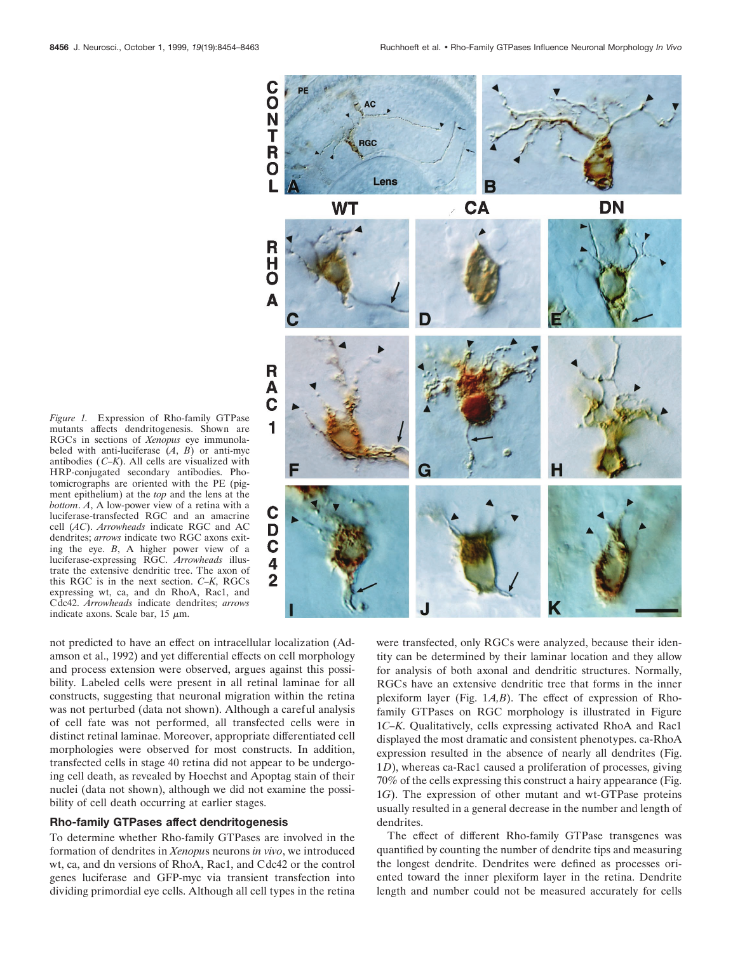

*Figure 1.* Expression of Rho-family GTPase mutants affects dendritogenesis. Shown are RGCs in sections of *Xenopus* eye immunolabeled with anti-luciferase  $(A, B)$  or anti-myc antibodies (*C–K*). All cells are visualized with HRP-conjugated secondary antibodies. Photomicrographs are oriented with the PE (pigment epithelium) at the *top* and the lens at the *bottom*. *A*, A low-power view of a retina with a luciferase-transfected RGC and an amacrine cell (*AC*). *Arrowheads* indicate RGC and AC dendrites; *arrows* indicate two RGC axons exiting the eye. *B*, A higher power view of a luciferase-expressing RGC. *Arrowheads* illustrate the extensive dendritic tree. The axon of this RGC is in the next section. *C–K*, RGCs expressing wt, ca, and dn RhoA, Rac1, and Cdc42. *Arrowheads* indicate dendrites; *arrows* indicate axons. Scale bar,  $15 \mu m$ .

not predicted to have an effect on intracellular localization (Adamson et al., 1992) and yet differential effects on cell morphology and process extension were observed, argues against this possibility. Labeled cells were present in all retinal laminae for all constructs, suggesting that neuronal migration within the retina was not perturbed (data not shown). Although a careful analysis of cell fate was not performed, all transfected cells were in distinct retinal laminae. Moreover, appropriate differentiated cell morphologies were observed for most constructs. In addition, transfected cells in stage 40 retina did not appear to be undergoing cell death, as revealed by Hoechst and Apoptag stain of their nuclei (data not shown), although we did not examine the possibility of cell death occurring at earlier stages.

# **Rho-family GTPases affect dendritogenesis**

To determine whether Rho-family GTPases are involved in the formation of dendrites in *Xenopu*s neurons *in vivo*, we introduced wt, ca, and dn versions of RhoA, Rac1, and Cdc42 or the control genes luciferase and GFP-myc via transient transfection into dividing primordial eye cells. Although all cell types in the retina

were transfected, only RGCs were analyzed, because their identity can be determined by their laminar location and they allow for analysis of both axonal and dendritic structures. Normally, RGCs have an extensive dendritic tree that forms in the inner plexiform layer (Fig. 1*A,B*). The effect of expression of Rhofamily GTPases on RGC morphology is illustrated in Figure 1*C–K*. Qualitatively, cells expressing activated RhoA and Rac1 displayed the most dramatic and consistent phenotypes. ca-RhoA expression resulted in the absence of nearly all dendrites (Fig. 1*D*), whereas ca-Rac1 caused a proliferation of processes, giving 70% of the cells expressing this construct a hairy appearance (Fig. 1*G*). The expression of other mutant and wt-GTPase proteins usually resulted in a general decrease in the number and length of dendrites.

The effect of different Rho-family GTPase transgenes was quantified by counting the number of dendrite tips and measuring the longest dendrite. Dendrites were defined as processes oriented toward the inner plexiform layer in the retina. Dendrite length and number could not be measured accurately for cells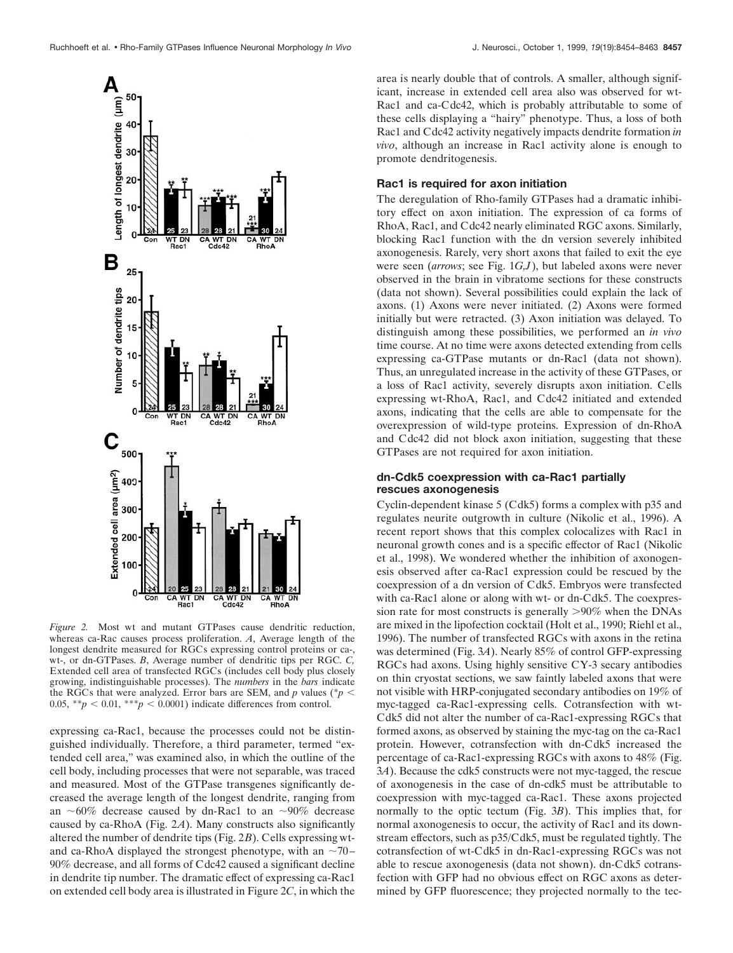

*Figure 2.* Most wt and mutant GTPases cause dendritic reduction, whereas ca-Rac causes process proliferation. *A*, Average length of the longest dendrite measured for RGCs expressing control proteins or ca-, wt-, or dn-GTPases. *B*, Average number of dendritic tips per RGC. *C,* Extended cell area of transfected RGCs (includes cell body plus closely growing, indistinguishable processes). The *numbers* in the *bars* indicate the RGCs that were analyzed. Error bars are SEM, and *p* values ( $p$   $\lt$ 0.05,  $*^{*}p$  < 0.01,  $*^{*}p$  < 0.0001) indicate differences from control.

expressing ca-Rac1, because the processes could not be distinguished individually. Therefore, a third parameter, termed "extended cell area," was examined also, in which the outline of the cell body, including processes that were not separable, was traced and measured. Most of the GTPase transgenes significantly decreased the average length of the longest dendrite, ranging from an  $\sim 60\%$  decrease caused by dn-Rac1 to an  $\sim 90\%$  decrease caused by ca-RhoA (Fig. 2*A*). Many constructs also significantly altered the number of dendrite tips (Fig. 2*B*). Cells expressing wtand ca-RhoA displayed the strongest phenotype, with an  $\sim$ 70– 90% decrease, and all forms of Cdc42 caused a significant decline in dendrite tip number. The dramatic effect of expressing ca-Rac1 on extended cell body area is illustrated in Figure 2*C*, in which the

area is nearly double that of controls. A smaller, although significant, increase in extended cell area also was observed for wt-Rac1 and ca-Cdc42, which is probably attributable to some of these cells displaying a "hairy" phenotype. Thus, a loss of both Rac1 and Cdc42 activity negatively impacts dendrite formation *in vivo*, although an increase in Rac1 activity alone is enough to promote dendritogenesis.

### **Rac1 is required for axon initiation**

The deregulation of Rho-family GTPases had a dramatic inhibitory effect on axon initiation. The expression of ca forms of RhoA, Rac1, and Cdc42 nearly eliminated RGC axons. Similarly, blocking Rac1 function with the dn version severely inhibited axonogenesis. Rarely, very short axons that failed to exit the eye were seen (*arrows*; see Fig. 1*G,J*), but labeled axons were never observed in the brain in vibratome sections for these constructs (data not shown). Several possibilities could explain the lack of axons. (1) Axons were never initiated. (2) Axons were formed initially but were retracted. (3) Axon initiation was delayed. To distinguish among these possibilities, we performed an *in vivo* time course. At no time were axons detected extending from cells expressing ca-GTPase mutants or dn-Rac1 (data not shown). Thus, an unregulated increase in the activity of these GTPases, or a loss of Rac1 activity, severely disrupts axon initiation. Cells expressing wt-RhoA, Rac1, and Cdc42 initiated and extended axons, indicating that the cells are able to compensate for the overexpression of wild-type proteins. Expression of dn-RhoA and Cdc42 did not block axon initiation, suggesting that these GTPases are not required for axon initiation.

## **dn-Cdk5 coexpression with ca-Rac1 partially rescues axonogenesis**

Cyclin-dependent kinase 5 (Cdk5) forms a complex with p35 and regulates neurite outgrowth in culture (Nikolic et al., 1996). A recent report shows that this complex colocalizes with Rac1 in neuronal growth cones and is a specific effector of Rac1 (Nikolic et al., 1998). We wondered whether the inhibition of axonogenesis observed after ca-Rac1 expression could be rescued by the coexpression of a dn version of Cdk5. Embryos were transfected with ca-Rac1 alone or along with wt- or dn-Cdk5. The coexpression rate for most constructs is generally  $> 90\%$  when the DNAs are mixed in the lipofection cocktail (Holt et al., 1990; Riehl et al., 1996). The number of transfected RGCs with axons in the retina was determined (Fig. 3*A*). Nearly 85% of control GFP-expressing RGCs had axons. Using highly sensitive CY-3 secary antibodies on thin cryostat sections, we saw faintly labeled axons that were not visible with HRP-conjugated secondary antibodies on 19% of myc-tagged ca-Rac1-expressing cells. Cotransfection with wt-Cdk5 did not alter the number of ca-Rac1-expressing RGCs that formed axons, as observed by staining the myc-tag on the ca-Rac1 protein. However, cotransfection with dn-Cdk5 increased the percentage of ca-Rac1-expressing RGCs with axons to 48% (Fig. 3*A*). Because the cdk5 constructs were not myc-tagged, the rescue of axonogenesis in the case of dn-cdk5 must be attributable to coexpression with myc-tagged ca-Rac1. These axons projected normally to the optic tectum (Fig. 3*B*). This implies that, for normal axonogenesis to occur, the activity of Rac1 and its downstream effectors, such as p35/Cdk5, must be regulated tightly. The cotransfection of wt-Cdk5 in dn-Rac1-expressing RGCs was not able to rescue axonogenesis (data not shown). dn-Cdk5 cotransfection with GFP had no obvious effect on RGC axons as determined by GFP fluorescence; they projected normally to the tec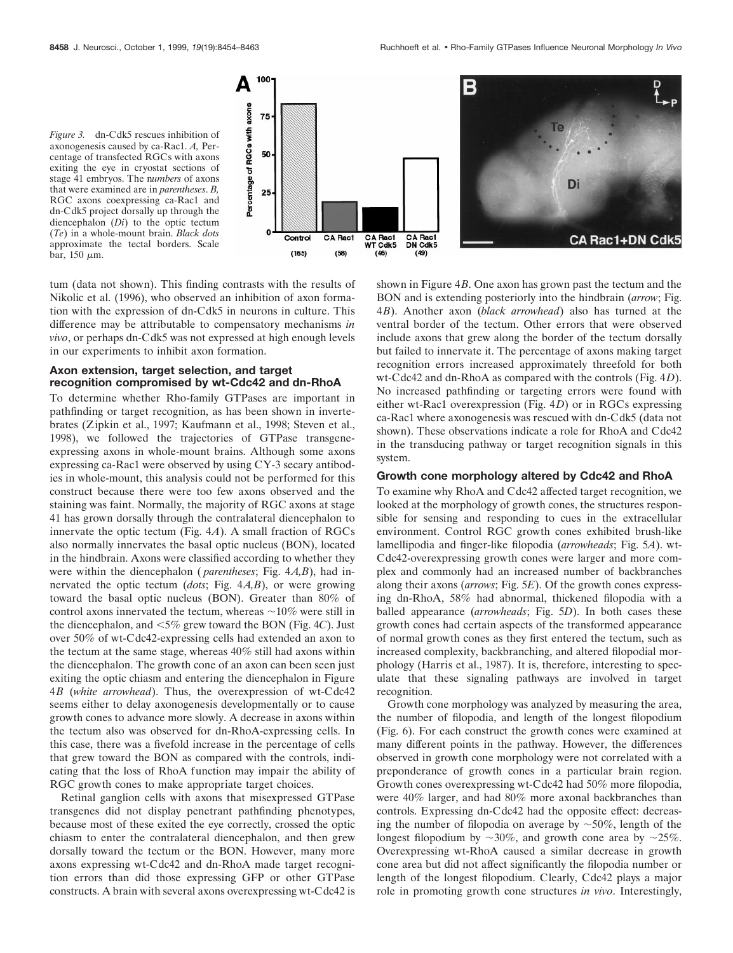*Figure 3.* dn-Cdk5 rescues inhibition of axonogenesis caused by ca-Rac1. *A,* Percentage of transfected RGCs with axons exiting the eye in cryostat sections of stage 41 embryos. The n*umbers* of axons that were examined are in *parentheses*. *B,* RGC axons coexpressing ca-Rac1 and dn-Cdk5 project dorsally up through the diencephalon (*Di*) to the optic tectum



(*Te*) in a whole-mount brain. *Black dots* approximate the tectal borders. Scale  $(165)$ bar, 150  $\mu$ m. tum (data not shown). This finding contrasts with the results of Nikolic et al. (1996), who observed an inhibition of axon formation with the expression of dn-Cdk5 in neurons in culture. This difference may be attributable to compensatory mechanisms *in vivo*, or perhaps dn-Cdk5 was not expressed at high enough levels

in our experiments to inhibit axon formation.

# **Axon extension, target selection, and target recognition compromised by wt-Cdc42 and dn-RhoA**

To determine whether Rho-family GTPases are important in pathfinding or target recognition, as has been shown in invertebrates (Zipkin et al., 1997; Kaufmann et al., 1998; Steven et al., 1998), we followed the trajectories of GTPase transgeneexpressing axons in whole-mount brains. Although some axons expressing ca-Rac1 were observed by using CY-3 secary antibodies in whole-mount, this analysis could not be performed for this construct because there were too few axons observed and the staining was faint. Normally, the majority of RGC axons at stage 41 has grown dorsally through the contralateral diencephalon to innervate the optic tectum (Fig. 4*A*). A small fraction of RGCs also normally innervates the basal optic nucleus (BON), located in the hindbrain. Axons were classified according to whether they were within the diencephalon ( *parentheses*; Fig. 4*A,B*), had innervated the optic tectum (*dots*; Fig. 4*A,B*), or were growing toward the basal optic nucleus (BON). Greater than 80% of control axons innervated the tectum, whereas  $\sim$ 10% were still in the diencephalon, and <5% grew toward the BON (Fig. 4*C*). Just over 50% of wt-Cdc42-expressing cells had extended an axon to the tectum at the same stage, whereas 40% still had axons within the diencephalon. The growth cone of an axon can been seen just exiting the optic chiasm and entering the diencephalon in Figure 4*B* (*white arrowhead*). Thus, the overexpression of wt-Cdc42 seems either to delay axonogenesis developmentally or to cause growth cones to advance more slowly. A decrease in axons within the tectum also was observed for dn-RhoA-expressing cells. In this case, there was a fivefold increase in the percentage of cells that grew toward the BON as compared with the controls, indicating that the loss of RhoA function may impair the ability of RGC growth cones to make appropriate target choices.

Retinal ganglion cells with axons that misexpressed GTPase transgenes did not display penetrant pathfinding phenotypes, because most of these exited the eye correctly, crossed the optic chiasm to enter the contralateral diencephalon, and then grew dorsally toward the tectum or the BON. However, many more axons expressing wt-Cdc42 and dn-RhoA made target recognition errors than did those expressing GFP or other GTPase constructs. A brain with several axons overexpressing wt-Cdc42 is

shown in Figure 4*B*. One axon has grown past the tectum and the BON and is extending posteriorly into the hindbrain (*arrow*; Fig. 4*B*). Another axon (*black arrowhead*) also has turned at the ventral border of the tectum. Other errors that were observed include axons that grew along the border of the tectum dorsally but failed to innervate it. The percentage of axons making target recognition errors increased approximately threefold for both wt-Cdc42 and dn-RhoA as compared with the controls (Fig. 4*D*). No increased pathfinding or targeting errors were found with either wt-Rac1 overexpression (Fig. 4*D*) or in RGCs expressing ca-Rac1 where axonogenesis was rescued with dn-Cdk5 (data not shown). These observations indicate a role for RhoA and Cdc42 in the transducing pathway or target recognition signals in this system.

#### **Growth cone morphology altered by Cdc42 and RhoA**

To examine why RhoA and Cdc42 affected target recognition, we looked at the morphology of growth cones, the structures responsible for sensing and responding to cues in the extracellular environment. Control RGC growth cones exhibited brush-like lamellipodia and finger-like filopodia (*arrowheads*; Fig. 5*A*). wt-Cdc42-overexpressing growth cones were larger and more complex and commonly had an increased number of backbranches along their axons (*arrows*; Fig. 5*E*). Of the growth cones expressing dn-RhoA, 58% had abnormal, thickened filopodia with a balled appearance (*arrowheads*; Fig. 5*D*). In both cases these growth cones had certain aspects of the transformed appearance of normal growth cones as they first entered the tectum, such as increased complexity, backbranching, and altered filopodial morphology (Harris et al., 1987). It is, therefore, interesting to speculate that these signaling pathways are involved in target recognition.

Growth cone morphology was analyzed by measuring the area, the number of filopodia, and length of the longest filopodium (Fig. 6). For each construct the growth cones were examined at many different points in the pathway. However, the differences observed in growth cone morphology were not correlated with a preponderance of growth cones in a particular brain region. Growth cones overexpressing wt-Cdc42 had 50% more filopodia, were 40% larger, and had 80% more axonal backbranches than controls. Expressing dn-Cdc42 had the opposite effect: decreasing the number of filopodia on average by  $\sim$  50%, length of the longest filopodium by  $\sim 30\%$ , and growth cone area by  $\sim 25\%$ . Overexpressing wt-RhoA caused a similar decrease in growth cone area but did not affect significantly the filopodia number or length of the longest filopodium. Clearly, Cdc42 plays a major role in promoting growth cone structures *in vivo*. Interestingly,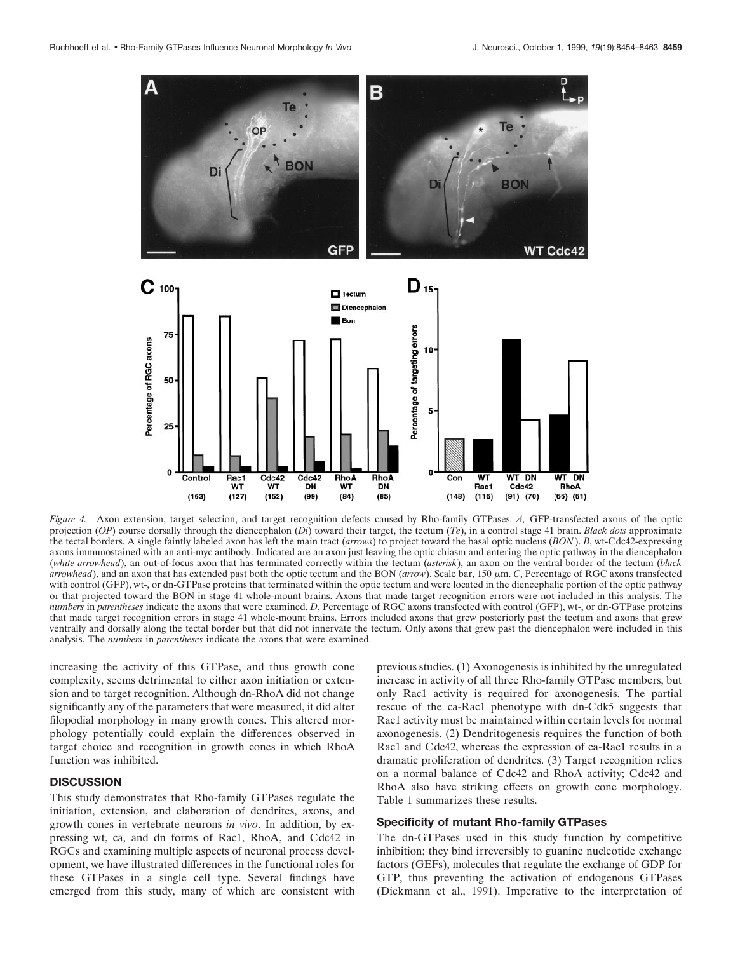

*Figure 4.* Axon extension, target selection, and target recognition defects caused by Rho-family GTPases. *A,* GFP-transfected axons of the optic projection (*OP*) course dorsally through the diencephalon (*Di*) toward their target, the tectum (*Te*), in a control stage 41 brain. *Black dots* approximate the tectal borders. A single faintly labeled axon has left the main tract (*arrows*) to project toward the basal optic nucleus (*BON*). *B*, wt-Cdc42-expressing axons immunostained with an anti-myc antibody. Indicated are an axon just leaving the optic chiasm and entering the optic pathway in the diencephalon (*white arrowhead*), an out-of-focus axon that has terminated correctly within the tectum (*asterisk*), an axon on the ventral border of the tectum (*black arrowhead*), and an axon that has extended past both the optic tectum and the BON (*arrow*). Scale bar, 150 <sup>m</sup>m. *C*, Percentage of RGC axons transfected with control (GFP), wt-, or dn-GTPase proteins that terminated within the optic tectum and were located in the diencephalic portion of the optic pathway or that projected toward the BON in stage 41 whole-mount brains. Axons that made target recognition errors were not included in this analysis. The *numbers* in *parentheses* indicate the axons that were examined. *D*, Percentage of RGC axons transfected with control (GFP), wt-, or dn-GTPase proteins that made target recognition errors in stage 41 whole-mount brains. Errors included axons that grew posteriorly past the tectum and axons that grew ventrally and dorsally along the tectal border but that did not innervate the tectum. Only axons that grew past the diencephalon were included in this analysis. The *numbers* in *parentheses* indicate the axons that were examined.

increasing the activity of this GTPase, and thus growth cone complexity, seems detrimental to either axon initiation or extension and to target recognition. Although dn-RhoA did not change significantly any of the parameters that were measured, it did alter filopodial morphology in many growth cones. This altered morphology potentially could explain the differences observed in target choice and recognition in growth cones in which RhoA function was inhibited.

# **DISCUSSION**

This study demonstrates that Rho-family GTPases regulate the initiation, extension, and elaboration of dendrites, axons, and growth cones in vertebrate neurons *in vivo*. In addition, by expressing wt, ca, and dn forms of Rac1, RhoA, and Cdc42 in RGCs and examining multiple aspects of neuronal process development, we have illustrated differences in the functional roles for these GTPases in a single cell type. Several findings have emerged from this study, many of which are consistent with

previous studies. (1) Axonogenesis is inhibited by the unregulated increase in activity of all three Rho-family GTPase members, but only Rac1 activity is required for axonogenesis. The partial rescue of the ca-Rac1 phenotype with dn-Cdk5 suggests that Rac1 activity must be maintained within certain levels for normal axonogenesis. (2) Dendritogenesis requires the function of both Rac1 and Cdc42, whereas the expression of ca-Rac1 results in a dramatic proliferation of dendrites. (3) Target recognition relies on a normal balance of Cdc42 and RhoA activity; Cdc42 and RhoA also have striking effects on growth cone morphology. Table 1 summarizes these results.

#### **Specificity of mutant Rho-family GTPases**

The dn-GTPases used in this study function by competitive inhibition; they bind irreversibly to guanine nucleotide exchange factors (GEFs), molecules that regulate the exchange of GDP for GTP, thus preventing the activation of endogenous GTPases (Diekmann et al., 1991). Imperative to the interpretation of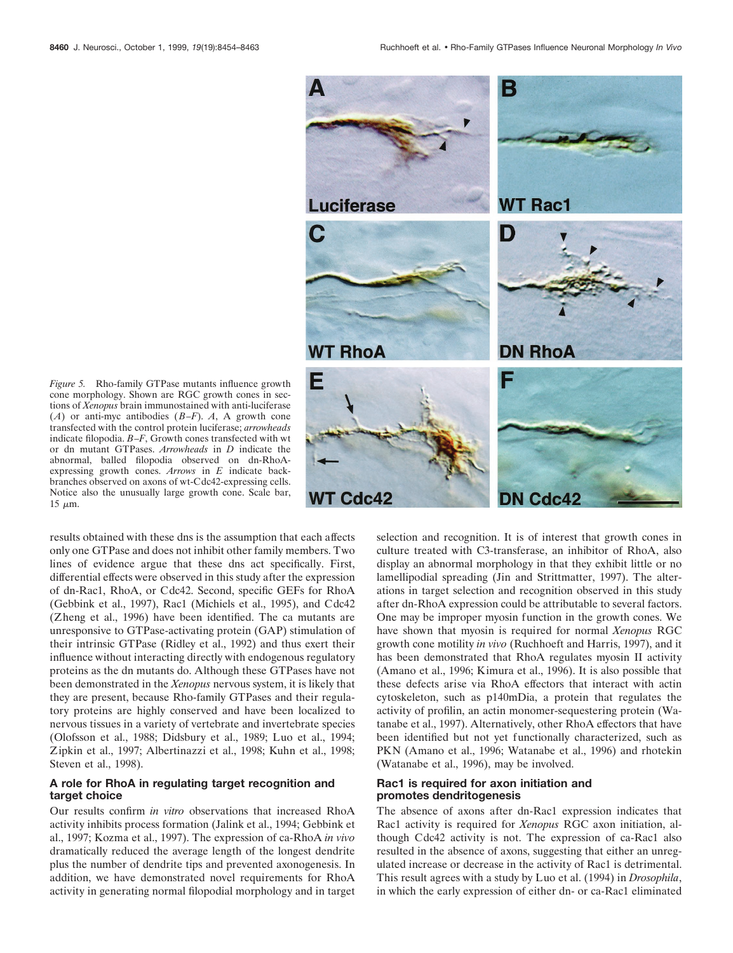

*Figure 5.* Rho-family GTPase mutants influence growth cone morphology. Shown are RGC growth cones in sections of *Xenopus* brain immunostained with anti-luciferase (*A*) or anti-myc antibodies (*B–F*). *A*, A growth cone transfected with the control protein luciferase; *arrowheads* indicate filopodia. *B–F*, Growth cones transfected with wt or dn mutant GTPases. *Arrowheads* in *D* indicate the abnormal, balled filopodia observed on dn-RhoAexpressing growth cones. *Arrows* in *E* indicate backbranches observed on axons of wt-Cdc42-expressing cells. Notice also the unusually large growth cone. Scale bar,  $15 \mu m$ .

results obtained with these dns is the assumption that each affects only one GTPase and does not inhibit other family members. Two lines of evidence argue that these dns act specifically. First, differential effects were observed in this study after the expression of dn-Rac1, RhoA, or Cdc42. Second, specific GEFs for RhoA (Gebbink et al., 1997), Rac1 (Michiels et al., 1995), and Cdc42 (Zheng et al., 1996) have been identified. The ca mutants are unresponsive to GTPase-activating protein (GAP) stimulation of their intrinsic GTPase (Ridley et al., 1992) and thus exert their influence without interacting directly with endogenous regulatory proteins as the dn mutants do. Although these GTPases have not been demonstrated in the *Xenopus* nervous system, it is likely that they are present, because Rho-family GTPases and their regulatory proteins are highly conserved and have been localized to nervous tissues in a variety of vertebrate and invertebrate species (Olofsson et al., 1988; Didsbury et al., 1989; Luo et al., 1994; Zipkin et al., 1997; Albertinazzi et al., 1998; Kuhn et al., 1998; Steven et al., 1998).

# **A role for RhoA in regulating target recognition and target choice**

Our results confirm *in vitro* observations that increased RhoA activity inhibits process formation (Jalink et al., 1994; Gebbink et al., 1997; Kozma et al., 1997). The expression of ca-RhoA *in vivo* dramatically reduced the average length of the longest dendrite plus the number of dendrite tips and prevented axonogenesis. In addition, we have demonstrated novel requirements for RhoA activity in generating normal filopodial morphology and in target selection and recognition. It is of interest that growth cones in culture treated with C3-transferase, an inhibitor of RhoA, also display an abnormal morphology in that they exhibit little or no lamellipodial spreading (Jin and Strittmatter, 1997). The alterations in target selection and recognition observed in this study after dn-RhoA expression could be attributable to several factors. One may be improper myosin function in the growth cones. We have shown that myosin is required for normal *Xenopus* RGC growth cone motility *in vivo* (Ruchhoeft and Harris, 1997), and it has been demonstrated that RhoA regulates myosin II activity (Amano et al., 1996; Kimura et al., 1996). It is also possible that these defects arise via RhoA effectors that interact with actin cytoskeleton, such as p140mDia, a protein that regulates the activity of profilin, an actin monomer-sequestering protein (Watanabe et al., 1997). Alternatively, other RhoA effectors that have been identified but not yet functionally characterized, such as PKN (Amano et al., 1996; Watanabe et al., 1996) and rhotekin (Watanabe et al., 1996), may be involved.

# **Rac1 is required for axon initiation and promotes dendritogenesis**

The absence of axons after dn-Rac1 expression indicates that Rac1 activity is required for *Xenopus* RGC axon initiation, although Cdc42 activity is not. The expression of ca-Rac1 also resulted in the absence of axons, suggesting that either an unregulated increase or decrease in the activity of Rac1 is detrimental. This result agrees with a study by Luo et al. (1994) in *Drosophila*, in which the early expression of either dn- or ca-Rac1 eliminated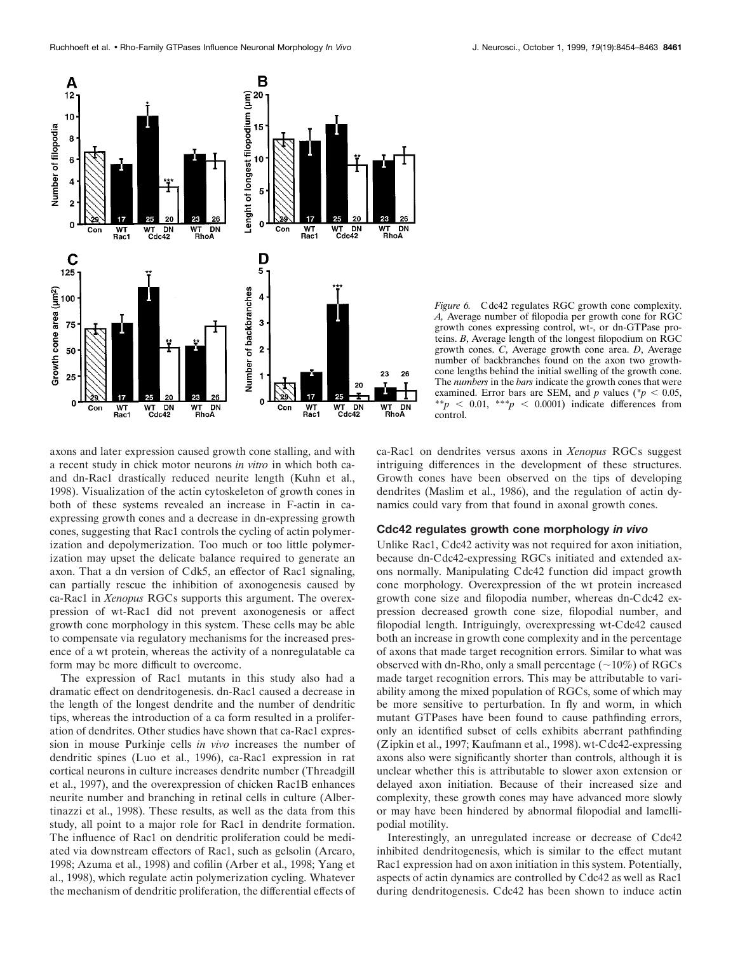

*Figure 6.* Cdc42 regulates RGC growth cone complexity. *A,* Average number of filopodia per growth cone for RGC growth cones expressing control, wt-, or dn-GTPase proteins. *B*, Average length of the longest filopodium on RGC growth cones. *C*, Average growth cone area. *D*, Average number of backbranches found on the axon two growthcone lengths behind the initial swelling of the growth cone. The *numbers* in the *bars* indicate the growth cones that were examined. Error bars are SEM, and *p* values ( $p < 0.05$ ,  $*^*p < 0.01$ ,  $**^*p < 0.0001$ ) indicate differences from control.

axons and later expression caused growth cone stalling, and with a recent study in chick motor neurons *in vitro* in which both caand dn-Rac1 drastically reduced neurite length (Kuhn et al., 1998). Visualization of the actin cytoskeleton of growth cones in both of these systems revealed an increase in F-actin in caexpressing growth cones and a decrease in dn-expressing growth cones, suggesting that Rac1 controls the cycling of actin polymerization and depolymerization. Too much or too little polymerization may upset the delicate balance required to generate an axon. That a dn version of Cdk5, an effector of Rac1 signaling, can partially rescue the inhibition of axonogenesis caused by ca-Rac1 in *Xenopus* RGCs supports this argument. The overexpression of wt-Rac1 did not prevent axonogenesis or affect growth cone morphology in this system. These cells may be able to compensate via regulatory mechanisms for the increased presence of a wt protein, whereas the activity of a nonregulatable ca form may be more difficult to overcome.

The expression of Rac1 mutants in this study also had a dramatic effect on dendritogenesis. dn-Rac1 caused a decrease in the length of the longest dendrite and the number of dendritic tips, whereas the introduction of a ca form resulted in a proliferation of dendrites. Other studies have shown that ca-Rac1 expression in mouse Purkinje cells *in vivo* increases the number of dendritic spines (Luo et al., 1996), ca-Rac1 expression in rat cortical neurons in culture increases dendrite number (Threadgill et al., 1997), and the overexpression of chicken Rac1B enhances neurite number and branching in retinal cells in culture (Albertinazzi et al., 1998). These results, as well as the data from this study, all point to a major role for Rac1 in dendrite formation. The influence of Rac1 on dendritic proliferation could be mediated via downstream effectors of Rac1, such as gelsolin (Arcaro, 1998; Azuma et al., 1998) and cofilin (Arber et al., 1998; Yang et al., 1998), which regulate actin polymerization cycling. Whatever the mechanism of dendritic proliferation, the differential effects of ca-Rac1 on dendrites versus axons in *Xenopus* RGCs suggest intriguing differences in the development of these structures. Growth cones have been observed on the tips of developing dendrites (Maslim et al., 1986), and the regulation of actin dynamics could vary from that found in axonal growth cones.

#### **Cdc42 regulates growth cone morphology** *in vivo*

Unlike Rac1, Cdc42 activity was not required for axon initiation, because dn-Cdc42-expressing RGCs initiated and extended axons normally. Manipulating Cdc42 function did impact growth cone morphology. Overexpression of the wt protein increased growth cone size and filopodia number, whereas dn-Cdc42 expression decreased growth cone size, filopodial number, and filopodial length. Intriguingly, overexpressing wt-Cdc42 caused both an increase in growth cone complexity and in the percentage of axons that made target recognition errors. Similar to what was observed with dn-Rho, only a small percentage  $(\sim 10\%)$  of RGCs made target recognition errors. This may be attributable to variability among the mixed population of RGCs, some of which may be more sensitive to perturbation. In fly and worm, in which mutant GTPases have been found to cause pathfinding errors, only an identified subset of cells exhibits aberrant pathfinding (Zipkin et al., 1997; Kaufmann et al., 1998). wt-Cdc42-expressing axons also were significantly shorter than controls, although it is unclear whether this is attributable to slower axon extension or delayed axon initiation. Because of their increased size and complexity, these growth cones may have advanced more slowly or may have been hindered by abnormal filopodial and lamellipodial motility.

Interestingly, an unregulated increase or decrease of Cdc42 inhibited dendritogenesis, which is similar to the effect mutant Rac1 expression had on axon initiation in this system. Potentially, aspects of actin dynamics are controlled by Cdc42 as well as Rac1 during dendritogenesis. Cdc42 has been shown to induce actin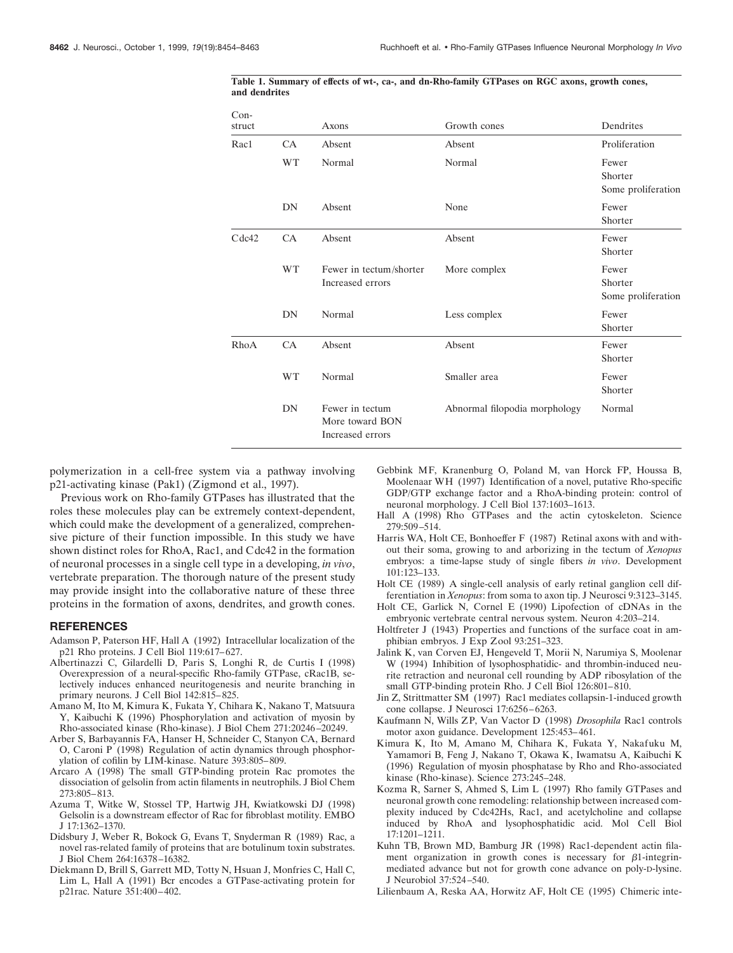| $Con-$<br>struct |           | Axons                                                  | Growth cones                  | Dendrites                              |
|------------------|-----------|--------------------------------------------------------|-------------------------------|----------------------------------------|
| Rac1             | CA        | Absent                                                 | Absent                        | Proliferation                          |
|                  | <b>WT</b> | Normal                                                 | Normal                        | Fewer<br>Shorter<br>Some proliferation |
|                  | DN        | Absent                                                 | None                          | Fewer<br>Shorter                       |
| Cdc42            | CA        | Absent                                                 | Absent                        | Fewer<br>Shorter                       |
|                  | <b>WT</b> | Fewer in tectum/shorter<br>Increased errors            | More complex                  | Fewer<br>Shorter<br>Some proliferation |
|                  | DN        | Normal                                                 | Less complex                  | Fewer<br>Shorter                       |
| RhoA             | CA        | Absent                                                 | Absent                        | Fewer<br>Shorter                       |
|                  | <b>WT</b> | Normal                                                 | Smaller area                  | Fewer<br>Shorter                       |
|                  | DN        | Fewer in tectum<br>More toward BON<br>Increased errors | Abnormal filopodia morphology | Normal                                 |

**Table 1. Summary of effects of wt-, ca-, and dn-Rho-family GTPases on RGC axons, growth cones, and dendrites**

polymerization in a cell-free system via a pathway involving p21-activating kinase (Pak1) (Zigmond et al., 1997).

Previous work on Rho-family GTPases has illustrated that the roles these molecules play can be extremely context-dependent, which could make the development of a generalized, comprehensive picture of their function impossible. In this study we have shown distinct roles for RhoA, Rac1, and Cdc42 in the formation of neuronal processes in a single cell type in a developing, *in vivo*, vertebrate preparation. The thorough nature of the present study may provide insight into the collaborative nature of these three proteins in the formation of axons, dendrites, and growth cones.

#### **REFERENCES**

- Adamson P, Paterson HF, Hall A (1992) Intracellular localization of the p21 Rho proteins. J Cell Biol 119:617–627.
- Albertinazzi C, Gilardelli D, Paris S, Longhi R, de Curtis I (1998) Overexpression of a neural-specific Rho-family GTPase, cRac1B, selectively induces enhanced neuritogenesis and neurite branching in primary neurons. J Cell Biol 142:815–825.
- Amano M, Ito M, Kimura K, Fukata Y, Chihara K, Nakano T, Matsuura Y, Kaibuchi K (1996) Phosphorylation and activation of myosin by Rho-associated kinase (Rho-kinase). J Biol Chem 271:20246–20249.
- Arber S, Barbayannis FA, Hanser H, Schneider C, Stanyon CA, Bernard O, Caroni P (1998) Regulation of actin dynamics through phosphorylation of cofilin by LIM-kinase. Nature 393:805–809.
- Arcaro A (1998) The small GTP-binding protein Rac promotes the dissociation of gelsolin from actin filaments in neutrophils. J Biol Chem 273:805–813.
- Azuma T, Witke W, Stossel TP, Hartwig JH, Kwiatkowski DJ (1998) Gelsolin is a downstream effector of Rac for fibroblast motility. EMBO J 17:1362–1370.
- Didsbury J, Weber R, Bokock G, Evans T, Snyderman R (1989) Rac, a novel ras-related family of proteins that are botulinum toxin substrates. J Biol Chem 264:16378–16382.
- Diekmann D, Brill S, Garrett MD, Totty N, Hsuan J, Monfries C, Hall C, Lim L, Hall A (1991) Bcr encodes a GTPase-activating protein for p21rac. Nature 351:400–402.
- Gebbink MF, Kranenburg O, Poland M, van Horck FP, Houssa B, Moolenaar WH (1997) Identification of a novel, putative Rho-specific GDP/GTP exchange factor and a RhoA-binding protein: control of neuronal morphology. J Cell Biol 137:1603–1613.
- Hall A (1998) Rho GTPases and the actin cytoskeleton. Science 279:509–514.
- Harris WA, Holt CE, Bonhoeffer F (1987) Retinal axons with and without their soma, growing to and arborizing in the tectum of *Xenopus* embryos: a time-lapse study of single fibers *in vivo*. Development 101:123–133.
- Holt CE (1989) A single-cell analysis of early retinal ganglion cell differentiation in *Xenopus*: from soma to axon tip. J Neurosci 9:3123–3145.
- Holt CE, Garlick N, Cornel E (1990) Lipofection of cDNAs in the embryonic vertebrate central nervous system. Neuron 4:203–214.
- Holtfreter J (1943) Properties and functions of the surface coat in amphibian embryos. J Exp Zool 93:251–323.
- Jalink K, van Corven EJ, Hengeveld T, Morii N, Narumiya S, Moolenar W (1994) Inhibition of lysophosphatidic- and thrombin-induced neurite retraction and neuronal cell rounding by ADP ribosylation of the small GTP-binding protein Rho. J Cell Biol 126:801–810.
- Jin Z, Strittmatter SM (1997) Rac1 mediates collapsin-1-induced growth cone collapse. J Neurosci 17:6256–6263.
- Kaufmann N, Wills ZP, Van Vactor D (1998) *Drosophila* Rac1 controls motor axon guidance. Development 125:453–461.
- Kimura K, Ito M, Amano M, Chihara K, Fukata Y, Nakafuku M, Yamamori B, Feng J, Nakano T, Okawa K, Iwamatsu A, Kaibuchi K (1996) Regulation of myosin phosphatase by Rho and Rho-associated kinase (Rho-kinase). Science 273:245–248.
- Kozma R, Sarner S, Ahmed S, Lim L (1997) Rho family GTPases and neuronal growth cone remodeling: relationship between increased complexity induced by Cdc42Hs, Rac1, and acetylcholine and collapse induced by RhoA and lysophosphatidic acid. Mol Cell Biol 17:1201–1211.
- Kuhn TB, Brown MD, Bamburg JR (1998) Rac1-dependent actin filament organization in growth cones is necessary for  $\beta$ 1-integrinmediated advance but not for growth cone advance on poly-D-lysine. J Neurobiol 37:524–540.
- Lilienbaum A, Reska AA, Horwitz AF, Holt CE (1995) Chimeric inte-